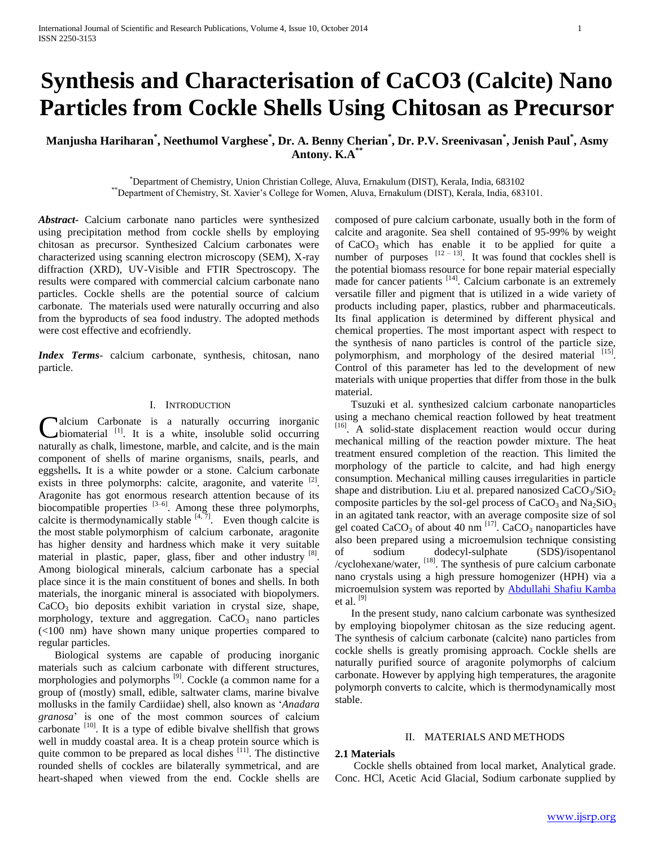# **Synthesis and Characterisation of CaCO3 (Calcite) Nano Particles from Cockle Shells Using Chitosan as Precursor**

## **Manjusha Hariharan\* , Neethumol Varghese\* , Dr. A. Benny Cherian\* , Dr. P.V. Sreenivasan\* , Jenish Paul\* , Asmy Antony. K.A\*\***

\*Department of Chemistry, Union Christian College, Aluva, Ernakulum (DIST), Kerala, India, 683102 \*\*Department of Chemistry, St. Xavier"s College for Women, Aluva, Ernakulum (DIST), Kerala, India, 683101.

*Abstract***-** Calcium carbonate nano particles were synthesized using precipitation method from cockle shells by employing chitosan as precursor. Synthesized Calcium carbonates were characterized using scanning electron microscopy (SEM), X-ray diffraction (XRD), UV-Visible and FTIR Spectroscopy. The results were compared with commercial calcium carbonate nano particles. Cockle shells are the potential source of calcium carbonate. The materials used were naturally occurring and also from the byproducts of sea food industry. The adopted methods were cost effective and ecofriendly.

*Index Terms*- calcium carbonate, synthesis, chitosan, nano particle.

## I. INTRODUCTION

alcium Carbonate is a naturally occurring inorganic  $\nu$ biomaterial <sup>[1]</sup>. It is a white, insoluble solid occurring **C**alcium Carbonate is a naturally occurring inorganic biomaterial <sup>[1]</sup>. It is a white, insoluble solid occurring naturally as chalk, limestone, marble, and calcite, and is the main component of shells of marine organisms, snails, pearls, and eggshells**.** It is a white powder or a stone. Calcium carbonate exists in three polymorphs: calcite, aragonite, and vaterite <sup>[2]</sup>. Aragonite has got enormous research attention because of its biocompatible properties  $[3-6]$ . Among these three polymorphs, calcite is thermodynamically stable  $[4, 7]$ . Even though calcite is the most stable polymorphism of calcium carbonate, aragonite has higher density and hardness which make it very suitable material in plastic, paper, glass, fiber and other industry [8]. Among biological minerals, calcium carbonate has a special place since it is the main constituent of bones and shells. In both materials, the inorganic mineral is associated with biopolymers.  $CaCO<sub>3</sub>$  bio deposits exhibit variation in crystal size, shape, morphology, texture and aggregation.  $CaCO<sub>3</sub>$  nano particles (<100 nm) have shown many unique properties compared to regular particles.

 Biological systems are capable of producing inorganic materials such as calcium carbonate with different structures, morphologies and polymorphs<sup>[9]</sup>. Cockle (a common name for a group of (mostly) small, edible, saltwater clams, marine bivalve mollusks in the family Cardiidae) shell, also known as "*Anadara granosa*" is one of the most common sources of calcium carbonate  $\left[10\right]$ . It is a type of edible bivalve shellfish that grows well in muddy coastal area. It is a cheap protein source which is quite common to be prepared as local dishes <sup>[11]</sup>. The distinctive rounded shells of cockles are bilaterally symmetrical, and are heart-shaped when viewed from the end. Cockle shells are

composed of pure calcium carbonate, usually both in the form of calcite and aragonite. Sea shell contained of 95-99% by weight of  $CaCO<sub>3</sub>$  which has enable it to be applied for quite a number of purposes  $[12 - 13]$ . It was found that cockles shell is the potential biomass resource for bone repair material especially made for cancer patients <sup>[14]</sup>. Calcium carbonate is an extremely versatile filler and pigment that is utilized in a wide variety of products including paper, plastics, rubber and pharmaceuticals. Its final application is determined by different physical and chemical properties. The most important aspect with respect to the synthesis of nano particles is control of the particle size, polymorphism, and morphology of the desired material [15]. Control of this parameter has led to the development of new materials with unique properties that differ from those in the bulk material.

 Tsuzuki et al. synthesized calcium carbonate nanoparticles using a mechano chemical reaction followed by heat treatment [16]. A solid-state displacement reaction would occur during mechanical milling of the reaction powder mixture. The heat treatment ensured completion of the reaction. This limited the morphology of the particle to calcite, and had high energy consumption. Mechanical milling causes irregularities in particle shape and distribution. Liu et al. prepared nanosized  $CaCO<sub>3</sub>/SiO<sub>2</sub>$ composite particles by the sol-gel process of  $CaCO<sub>3</sub>$  and  $Na<sub>2</sub>SiO<sub>3</sub>$ in an agitated tank reactor, with an average composite size of sol gel coated CaCO<sub>3</sub> of about 40 nm  $^{[17]}$ . CaCO<sub>3</sub> nanoparticles have also been prepared using a microemulsion technique consisting of sodium dodecyl-sulphate (SDS)/isopentanol /cyclohexane/water, [18]. The synthesis of pure calcium carbonate nano crystals using a high pressure homogenizer (HPH) via a microemulsion system was reported by [Abdullahi Shafiu Kamba](http://www.hindawi.com/94578541/) et al.  $^{[9]}$ 

 In the present study, nano calcium carbonate was synthesized by employing biopolymer chitosan as the size reducing agent. The synthesis of calcium carbonate (calcite) nano particles from cockle shells is greatly promising approach. Cockle shells are naturally purified source of aragonite polymorphs of calcium carbonate. However by applying high temperatures, the aragonite polymorph converts to calcite, which is thermodynamically most stable.

#### II. MATERIALS AND METHODS

### **2.1 Materials**

 Cockle shells obtained from local market, Analytical grade. Conc. HCl, Acetic Acid Glacial, Sodium carbonate supplied by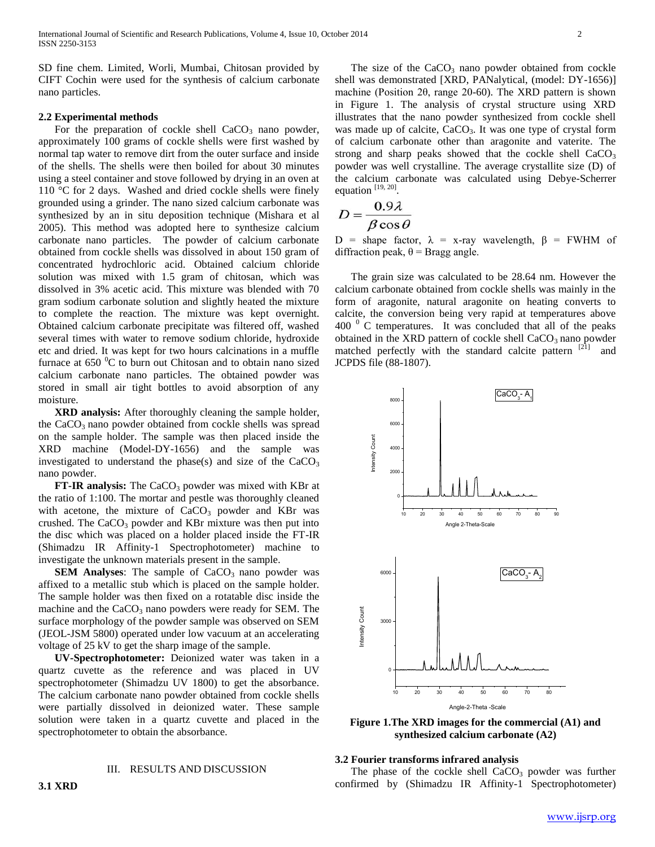SD fine chem. Limited, Worli, Mumbai, Chitosan provided by CIFT Cochin were used for the synthesis of calcium carbonate nano particles.

#### **2.2 Experimental methods**

For the preparation of cockle shell  $CaCO<sub>3</sub>$  nano powder, approximately 100 grams of cockle shells were first washed by normal tap water to remove dirt from the outer surface and inside of the shells. The shells were then boiled for about 30 minutes using a steel container and stove followed by drying in an oven at 110 °C for 2 days. Washed and dried cockle shells were finely grounded using a grinder. The nano sized calcium carbonate was synthesized by an in situ deposition technique (Mishara et al 2005). This method was adopted here to synthesize calcium carbonate nano particles. The powder of calcium carbonate obtained from cockle shells was dissolved in about 150 gram of concentrated hydrochloric acid. Obtained calcium chloride solution was mixed with 1.5 gram of chitosan, which was dissolved in 3% acetic acid. This mixture was blended with 70 gram sodium carbonate solution and slightly heated the mixture to complete the reaction. The mixture was kept overnight. Obtained calcium carbonate precipitate was filtered off, washed several times with water to remove sodium chloride, hydroxide etc and dried. It was kept for two hours calcinations in a muffle furnace at  $650 \degree$ C to burn out Chitosan and to obtain nano sized calcium carbonate nano particles. The obtained powder was stored in small air tight bottles to avoid absorption of any moisture.

 **XRD analysis:** After thoroughly cleaning the sample holder, the  $CaCO<sub>3</sub>$  nano powder obtained from cockle shells was spread on the sample holder. The sample was then placed inside the XRD machine (Model-DY-1656) and the sample was investigated to understand the phase(s) and size of the  $CaCO<sub>3</sub>$ nano powder.

**FT-IR analysis:** The CaCO<sub>3</sub> powder was mixed with KBr at the ratio of 1:100. The mortar and pestle was thoroughly cleaned with acetone, the mixture of  $CaCO<sub>3</sub>$  powder and KBr was crushed. The  $CaCO<sub>3</sub>$  powder and KBr mixture was then put into the disc which was placed on a holder placed inside the FT-IR (Shimadzu IR Affinity-1 Spectrophotometer) machine to investigate the unknown materials present in the sample.

**SEM Analyses:** The sample of CaCO<sub>3</sub> nano powder was affixed to a metallic stub which is placed on the sample holder. The sample holder was then fixed on a rotatable disc inside the machine and the  $CaCO<sub>3</sub>$  nano powders were ready for SEM. The surface morphology of the powder sample was observed on SEM (JEOL-JSM 5800) operated under low vacuum at an accelerating voltage of 25 kV to get the sharp image of the sample.

 **UV-Spectrophotometer:** Deionized water was taken in a quartz cuvette as the reference and was placed in UV spectrophotometer (Shimadzu UV 1800) to get the absorbance. The calcium carbonate nano powder obtained from cockle shells were partially dissolved in deionized water. These sample solution were taken in a quartz cuvette and placed in the spectrophotometer to obtain the absorbance.

### III. RESULTS AND DISCUSSION

The size of the  $CaCO<sub>3</sub>$  nano powder obtained from cockle shell was demonstrated [XRD, PANalytical, (model: DY-1656)] machine (Position 2θ, range 20-60). The XRD pattern is shown in Figure 1. The analysis of crystal structure using XRD illustrates that the nano powder synthesized from cockle shell was made up of calcite,  $CaCO<sub>3</sub>$ . It was one type of crystal form of calcium carbonate other than aragonite and vaterite. The strong and sharp peaks showed that the cockle shell  $CaCO<sub>3</sub>$ powder was well crystalline. The average crystallite size (D) of the calcium carbonate was calculated using Debye-Scherrer equation  $[19, 20]$ .

$$
D = \frac{0.9\lambda}{\beta \cos \theta}
$$

D = shape factor,  $\lambda$  = x-ray wavelength,  $\beta$  = FWHM of diffraction peak,  $θ =$ Bragg angle.

 The grain size was calculated to be 28.64 nm. However the calcium carbonate obtained from cockle shells was mainly in the form of aragonite, natural aragonite on heating converts to calcite, the conversion being very rapid at temperatures above  $400<sup>0</sup>$  C temperatures. It was concluded that all of the peaks obtained in the XRD pattern of cockle shell  $CaCO<sub>3</sub>$  nano powder matched perfectly with the standard calcite pattern [21] and JCPDS file (88-1807).



**Figure 1.The XRD images for the commercial (A1) and synthesized calcium carbonate (A2)**

## **3.2 Fourier transforms infrared analysis**

The phase of the cockle shell  $CaCO<sub>3</sub>$  powder was further confirmed by (Shimadzu IR Affinity-1 Spectrophotometer)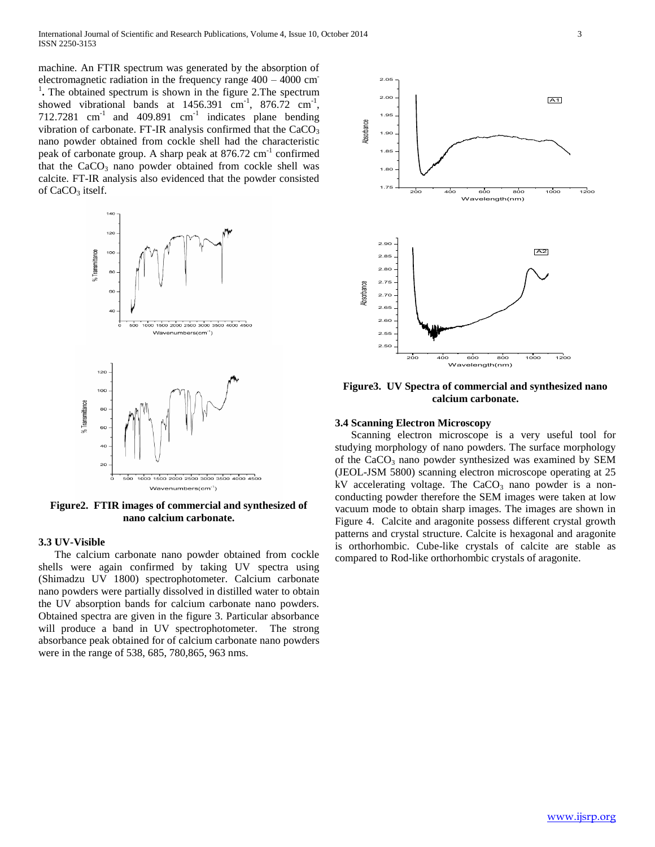machine. An FTIR spectrum was generated by the absorption of electromagnetic radiation in the frequency range 400 – 4000 cm-<sup>1</sup>. The obtained spectrum is shown in the figure 2. The spectrum showed vibrational bands at  $1456.391$  cm<sup>-1</sup>,  $876.72$  cm<sup>-1</sup>, 712.7281  $\text{cm}^{-1}$  and 409.891  $\text{cm}^{-1}$  indicates plane bending vibration of carbonate. FT-IR analysis confirmed that the  $CaCO<sub>3</sub>$ nano powder obtained from cockle shell had the characteristic peak of carbonate group. A sharp peak at 876.72 cm<sup>-1</sup> confirmed that the  $CaCO<sub>3</sub>$  nano powder obtained from cockle shell was calcite. FT-IR analysis also evidenced that the powder consisted of  $CaCO<sub>3</sub>$  itself.



**Figure2. FTIR images of commercial and synthesized of nano calcium carbonate.**

### **3.3 UV-Visible**

 The calcium carbonate nano powder obtained from cockle shells were again confirmed by taking UV spectra using (Shimadzu UV 1800) spectrophotometer. Calcium carbonate nano powders were partially dissolved in distilled water to obtain the UV absorption bands for calcium carbonate nano powders. Obtained spectra are given in the figure 3. Particular absorbance will produce a band in UV spectrophotometer. The strong absorbance peak obtained for of calcium carbonate nano powders were in the range of 538, 685, 780,865, 963 nms.



**Figure3. UV Spectra of commercial and synthesized nano calcium carbonate.**

## **3.4 Scanning Electron Microscopy**

 Scanning electron microscope is a very useful tool for studying morphology of nano powders. The surface morphology of the  $CaCO<sub>3</sub>$  nano powder synthesized was examined by SEM (JEOL-JSM 5800) scanning electron microscope operating at 25 kV accelerating voltage. The  $CaCO<sub>3</sub>$  nano powder is a nonconducting powder therefore the SEM images were taken at low vacuum mode to obtain sharp images. The images are shown in Figure 4. Calcite and aragonite possess different crystal growth patterns and crystal structure. Calcite is hexagonal and aragonite is orthorhombic. Cube-like crystals of calcite are stable as compared to Rod-like orthorhombic crystals of aragonite.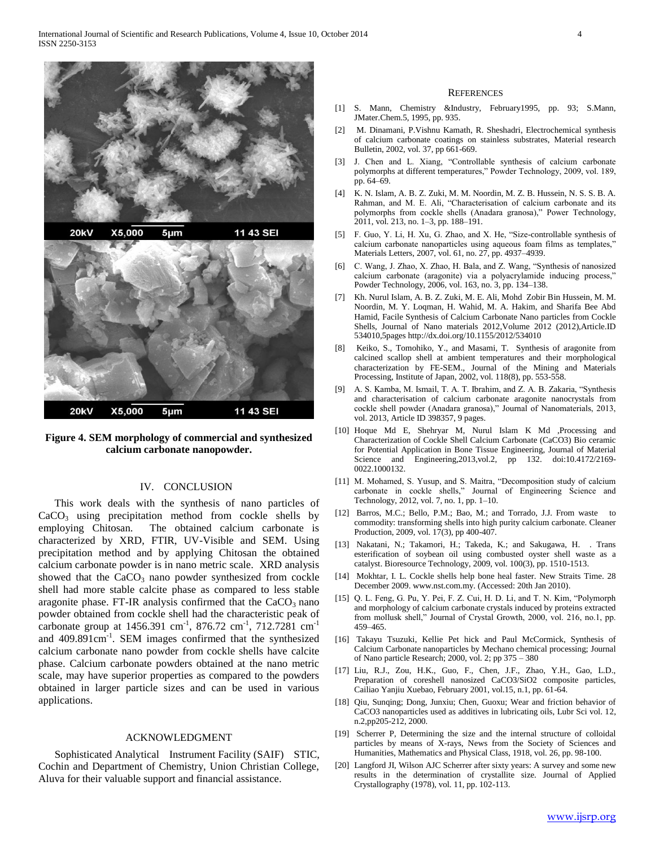

**Figure 4. SEM morphology of commercial and synthesized calcium carbonate nanopowder.**

#### IV. CONCLUSION

 This work deals with the synthesis of nano particles of  $CaCO<sub>3</sub>$  using precipitation method from cockle shells by employing Chitosan. The obtained calcium carbonate is characterized by XRD, FTIR, UV-Visible and SEM. Using precipitation method and by applying Chitosan the obtained calcium carbonate powder is in nano metric scale. XRD analysis showed that the  $CaCO<sub>3</sub>$  nano powder synthesized from cockle shell had more stable calcite phase as compared to less stable aragonite phase. FT-IR analysis confirmed that the  $CaCO<sub>3</sub>$  nano powder obtained from cockle shell had the characteristic peak of carbonate group at  $1456.391$  cm<sup>-1</sup>, 876.72 cm<sup>-1</sup>, 712.7281 cm<sup>-1</sup> and 409.891cm<sup>-1</sup>. SEM images confirmed that the synthesized calcium carbonate nano powder from cockle shells have calcite phase. Calcium carbonate powders obtained at the nano metric scale, may have superior properties as compared to the powders obtained in larger particle sizes and can be used in various applications.

#### ACKNOWLEDGMENT

 Sophisticated Analytical Instrument Facility (SAIF) STIC, Cochin and Department of Chemistry, Union Christian College, Aluva for their valuable support and financial assistance.

#### **REFERENCES**

- [1] S. Mann, Chemistry &Industry, February1995, pp. 93; S.Mann, JMater.Chem.5, 1995, pp. 935.
- [2] M. Dinamani, P.Vishnu Kamath, R. Sheshadri, Electrochemical synthesis of calcium carbonate coatings on stainless substrates, Material research Bulletin, 2002, vol. 37, pp 661-669.
- [3] J. Chen and L. Xiang, "Controllable synthesis of calcium carbonate polymorphs at different temperatures," Powder Technology, 2009, vol. 189, pp. 64–69.
- [4] K. N. Islam, A. B. Z. Zuki, M. M. Noordin, M. Z. B. Hussein, N. S. S. B. A. Rahman, and M. E. Ali, "Characterisation of calcium carbonate and its polymorphs from cockle shells (Anadara granosa)," Power Technology, 2011, vol. 213, no. 1–3, pp. 188–191.
- [5] F. Guo, Y. Li, H. Xu, G. Zhao, and X. He, "Size-controllable synthesis of calcium carbonate nanoparticles using aqueous foam films as templates," Materials Letters, 2007, vol. 61, no. 27, pp. 4937–4939.
- [6] C. Wang, J. Zhao, X. Zhao, H. Bala, and Z. Wang, "Synthesis of nanosized calcium carbonate (aragonite) via a polyacrylamide inducing process," Powder Technology, 2006, vol. 163, no. 3, pp. 134–138.
- [7] Kh. Nurul Islam, A. B. Z. Zuki, M. E. Ali, Mohd Zobir Bin Hussein, M. M. Noordin, M. Y. Loqman, H. Wahid, M. A. Hakim, and Sharifa Bee Abd Hamid, Facile Synthesis of Calcium Carbonate Nano particles from Cockle Shells, Journal of Nano materials 2012,Volume 2012 (2012),Article.ID 534010,5pages http://dx.doi.org/10.1155/2012/534010
- [8] Keiko, S., Tomohiko, Y., and Masami, T. Synthesis of aragonite from calcined scallop shell at ambient temperatures and their morphological characterization by FE-SEM., Journal of the Mining and Materials Processing, Institute of Japan, 2002, vol. 118(8), pp. 553-558.
- [9] A. S. Kamba, M. Ismail, T. A. T. Ibrahim, and Z. A. B. Zakaria, "Synthesis and characterisation of calcium carbonate aragonite nanocrystals from cockle shell powder (Anadara granosa)," Journal of Nanomaterials, 2013, vol. 2013, Article ID 398357, 9 pages.
- [10] Hoque Md E, Shehryar M, Nurul Islam K Md ,Processing and Characterization of Cockle Shell Calcium Carbonate (CaCO3) Bio ceramic for Potential Application in Bone Tissue Engineering, Journal of Material Science and Engineering,2013,vol.2, pp 132. doi:10.4172/2169- 0022.1000132.
- [11] M. Mohamed, S. Yusup, and S. Maitra, "Decomposition study of calcium carbonate in cockle shells," Journal of Engineering Science and Technology, 2012, vol. 7, no. 1, pp. 1–10.
- [12] Barros, M.C.; Bello, P.M.; Bao, M.; and Torrado, J.J. From waste to commodity: transforming shells into high purity calcium carbonate. Cleaner Production, 2009, vol. 17(3), pp 400-407.
- [13] Nakatani, N.; Takamori, H.; Takeda, K.; and Sakugawa, H. . Trans esterification of soybean oil using combusted oyster shell waste as a catalyst. Bioresource Technology, 2009, vol. 100(3), pp. 1510-1513.
- [14] Mokhtar, I. L. Cockle shells help bone heal faster. New Straits Time. 28 December 2009. www.nst.com.my. (Accessed: 20th Jan 2010).
- [15] Q. L. Feng, G. Pu, Y. Pei, F. Z. Cui, H. D. Li, and T. N. Kim, "Polymorph" and morphology of calcium carbonate crystals induced by proteins extracted from mollusk shell," Journal of Crystal Growth, 2000, vol. 216, no.1, pp. 459–465.
- [16] Takayu Tsuzuki, Kellie Pet hick and Paul McCormick, Synthesis of Calcium Carbonate nanoparticles by Mechano chemical processing; Journal of Nano particle Research; 2000, vol. 2; pp 375 – 380
- [17] Liu, R.J., Zou, H.K., Guo, F., Chen, J.F., Zhao, Y.H., Gao, L.D., Preparation of coreshell nanosized CaCO3/SiO2 composite particles, Cailiao Yanjiu Xuebao, February 2001, vol.15, n.1, pp. 61-64.
- [18] Qiu, Sunqing; Dong, Junxiu; Chen, Guoxu; Wear and friction behavior of CaCO3 nanoparticles used as additives in lubricating oils, Lubr Sci vol. 12, n.2,pp205-212, 2000.
- [19] Scherrer P, Determining the size and the internal structure of colloidal particles by means of X-rays, News from the Society of Sciences and Humanities, Mathematics and Physical Class, 1918, vol. 26, pp. 98-100.
- [20] Langford JI, Wilson AJC Scherrer after sixty years: A survey and some new results in the determination of crystallite size. Journal of Applied Crystallography (1978), vol. 11, pp. 102-113.